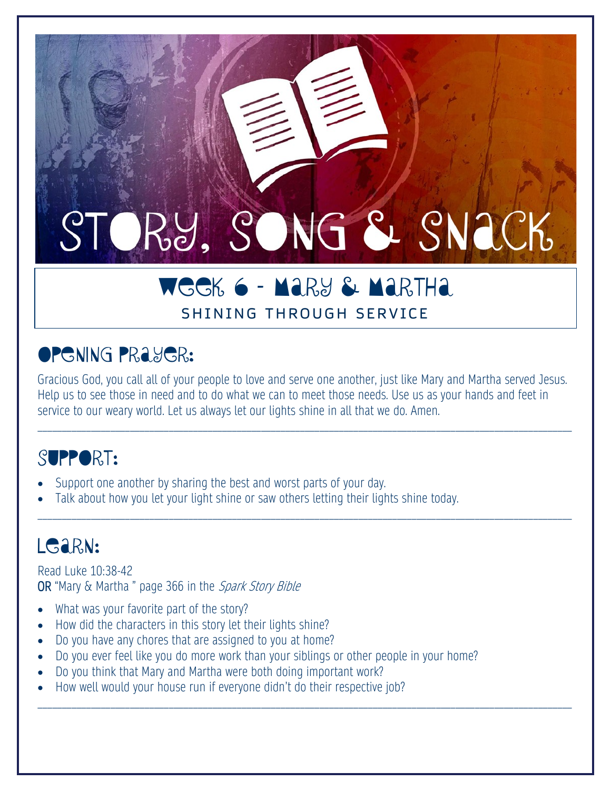# STORY, SONG & SNACK

## WEEK 6 – Mary & Martha

#### SHINING THROUGH SERVICE

## **OPGNING PRAYGR:**

Gracious God, you call all of your people to love and serve one another, just like Mary and Martha served Jesus. Help us to see those in need and to do what we can to meet those needs. Use us as your hands and feet in service to our weary world. Let us always let our lights shine in all that we do. Amen.

\_\_\_\_\_\_\_\_\_\_\_\_\_\_\_\_\_\_\_\_\_\_\_\_\_\_\_\_\_\_\_\_\_\_\_\_\_\_\_\_\_\_\_\_\_\_\_\_\_\_\_\_\_\_\_\_\_\_\_\_\_\_\_\_\_\_\_\_\_\_\_\_\_\_\_\_\_\_\_\_\_\_\_\_\_\_\_\_\_\_\_\_\_\_\_\_\_\_\_\_\_\_\_\_\_\_\_\_\_\_

\_\_\_\_\_\_\_\_\_\_\_\_\_\_\_\_\_\_\_\_\_\_\_\_\_\_\_\_\_\_\_\_\_\_\_\_\_\_\_\_\_\_\_\_\_\_\_\_\_\_\_\_\_\_\_\_\_\_\_\_\_\_\_\_\_\_\_\_\_\_\_\_\_\_\_\_\_\_\_\_\_\_\_\_\_\_\_\_\_\_\_\_\_\_\_\_\_\_\_\_\_\_\_\_\_\_\_\_\_\_

\_\_\_\_\_\_\_\_\_\_\_\_\_\_\_\_\_\_\_\_\_\_\_\_\_\_\_\_\_\_\_\_\_\_\_\_\_\_\_\_\_\_\_\_\_\_\_\_\_\_\_\_\_\_\_\_\_\_\_\_\_\_\_\_\_\_\_\_\_\_\_\_\_\_\_\_\_\_\_\_\_\_\_\_\_\_\_\_\_\_\_\_\_\_\_\_\_\_\_\_\_\_\_\_\_\_\_\_\_\_

## SUPPORT:

- Support one another by sharing the best and worst parts of your day.
- Talk about how you let your light shine or saw others letting their lights shine today.

## LGaRN:

Read Luke 10:38-42 OR "Mary & Martha" page 366 in the Spark Story Bible

- What was your favorite part of the story?
- How did the characters in this story let their lights shine?
- Do you have any chores that are assigned to you at home?
- Do you ever feel like you do more work than your siblings or other people in your home?
- Do you think that Mary and Martha were both doing important work?
- How well would your house run if everyone didn't do their respective job?